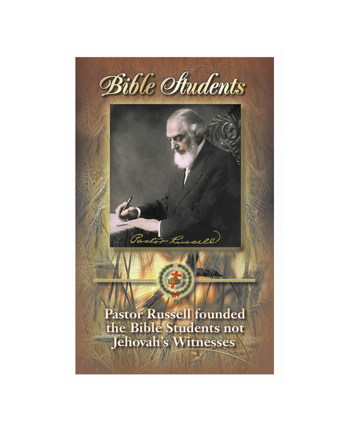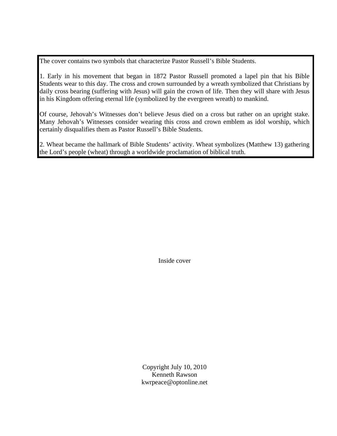The cover contains two symbols that characterize Pastor Russell's Bible Students.

1. Early in his movement that began in 1872 Pastor Russell promoted a lapel pin that his Bible Students wear to this day. The cross and crown surrounded by a wreath symbolized that Christians by daily cross bearing (suffering with Jesus) will gain the crown of life. Then they will share with Jesus in his Kingdom offering eternal life (symbolized by the evergreen wreath) to mankind.

Of course, Jehovah's Witnesses don't believe Jesus died on a cross but rather on an upright stake. Many Jehovah's Witnesses consider wearing this cross and crown emblem as idol worship, which certainly disqualifies them as Pastor Russell's Bible Students.

2. Wheat became the hallmark of Bible Students' activity. Wheat symbolizes (Matthew 13) gathering the Lord's people (wheat) through a worldwide proclamation of biblical truth.

Inside cover

Copyright July 10, 2010 Kenneth Rawson kwrpeace@optonline.net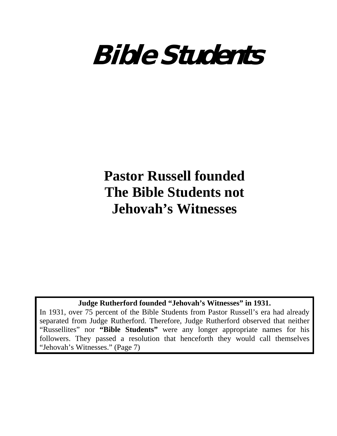

# **Pastor Russell founded The Bible Students not Jehovah's Witnesses**

## **Judge Rutherford founded "Jehovah's Witnesses" in 1931.**

In 1931, over 75 percent of the Bible Students from Pastor Russell's era had already separated from Judge Rutherford. Therefore, Judge Rutherford observed that neither "Russellites" nor **"Bible Students"** were any longer appropriate names for his followers. They passed a resolution that henceforth they would call themselves "Jehovah's Witnesses." (Page 7)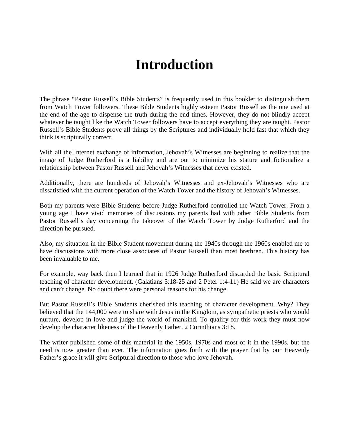## **Introduction**

The phrase "Pastor Russell's Bible Students" is frequently used in this booklet to distinguish them from Watch Tower followers. These Bible Students highly esteem Pastor Russell as the one used at the end of the age to dispense the truth during the end times. However, they do not blindly accept whatever he taught like the Watch Tower followers have to accept everything they are taught. Pastor Russell's Bible Students prove all things by the Scriptures and individually hold fast that which they think is scripturally correct.

With all the Internet exchange of information, Jehovah's Witnesses are beginning to realize that the image of Judge Rutherford is a liability and are out to minimize his stature and fictionalize a relationship between Pastor Russell and Jehovah's Witnesses that never existed.

Additionally, there are hundreds of Jehovah's Witnesses and ex-Jehovah's Witnesses who are dissatisfied with the current operation of the Watch Tower and the history of Jehovah's Witnesses.

Both my parents were Bible Students before Judge Rutherford controlled the Watch Tower. From a young age I have vivid memories of discussions my parents had with other Bible Students from Pastor Russell's day concerning the takeover of the Watch Tower by Judge Rutherford and the direction he pursued.

Also, my situation in the Bible Student movement during the 1940s through the 1960s enabled me to have discussions with more close associates of Pastor Russell than most brethren. This history has been invaluable to me.

For example, way back then I learned that in 1926 Judge Rutherford discarded the basic Scriptural teaching of character development. (Galatians 5:18-25 and 2 Peter 1:4-11) He said we are characters and can't change. No doubt there were personal reasons for his change.

But Pastor Russell's Bible Students cherished this teaching of character development. Why? They believed that the 144,000 were to share with Jesus in the Kingdom, as sympathetic priests who would nurture, develop in love and judge the world of mankind. To qualify for this work they must now develop the character likeness of the Heavenly Father. 2 Corinthians 3:18.

The writer published some of this material in the 1950s, 1970s and most of it in the 1990s, but the need is now greater than ever. The information goes forth with the prayer that by our Heavenly Father's grace it will give Scriptural direction to those who love Jehovah.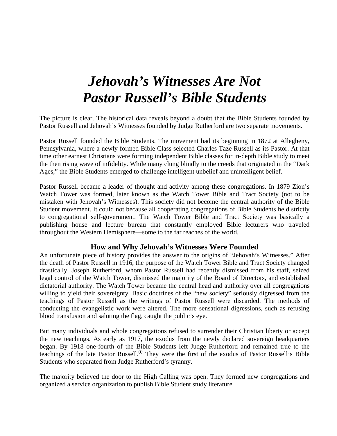## *Jehovah's Witnesses Are Not Pastor Russell's Bible Students*

The picture is clear. The historical data reveals beyond a doubt that the Bible Students founded by Pastor Russell and Jehovah's Witnesses founded by Judge Rutherford are two separate movements.

Pastor Russell founded the Bible Students. The movement had its beginning in 1872 at Allegheny, Pennsylvania, where a newly formed Bible Class selected Charles Taze Russell as its Pastor. At that time other earnest Christians were forming independent Bible classes for in-depth Bible study to meet the then rising wave of infidelity. While many clung blindly to the creeds that originated in the "Dark Ages," the Bible Students emerged to challenge intelligent unbelief and unintelligent belief.

Pastor Russell became a leader of thought and activity among these congregations. In 1879 Zion's Watch Tower was formed, later known as the Watch Tower Bible and Tract Society (not to be mistaken with Jehovah's Witnesses). This society did not become the central authority of the Bible Student movement. It could not because all cooperating congregations of Bible Students held strictly to congregational self-government. The Watch Tower Bible and Tract Society was basically a publishing house and lecture bureau that constantly employed Bible lecturers who traveled throughout the Western Hemisphere—some to the far reaches of the world.

#### **How and Why Jehovah's Witnesses Were Founded**

An unfortunate piece of history provides the answer to the origins of "Jehovah's Witnesses." After the death of Pastor Russell in 1916, the purpose of the Watch Tower Bible and Tract Society changed drastically. Joseph Rutherford, whom Pastor Russell had recently dismissed from his staff, seized legal control of the Watch Tower, dismissed the majority of the Board of Directors, and established dictatorial authority. The Watch Tower became the central head and authority over all congregations willing to yield their sovereignty. Basic doctrines of the "new society" seriously digressed from the teachings of Pastor Russell as the writings of Pastor Russell were discarded. The methods of conducting the evangelistic work were altered. The more sensational digressions, such as refusing blood transfusion and saluting the flag, caught the public's eye.

But many individuals and whole congregations refused to surrender their Christian liberty or accept the new teachings. As early as 1917, the exodus from the newly declared sovereign headquarters began. By 1918 one-fourth of the Bible Students left Judge Rutherford and remained true to the teachings of the late Pastor Russell.<sup>(i)</sup> They were the first of the exodus of Pastor Russell's Bible Students who separated from Judge Rutherford's tyranny.

The majority believed the door to the High Calling was open. They formed new congregations and organized a service organization to publish Bible Student study literature.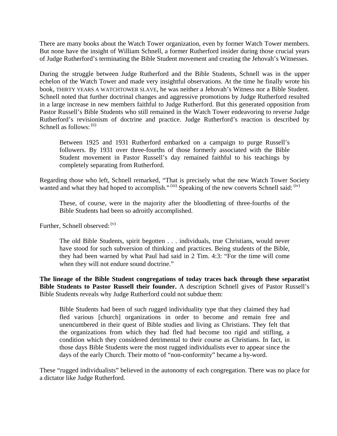There are many books about the Watch Tower organization, even by former Watch Tower members. But none have the insight of William Schnell, a former Rutherford insider during those crucial years of Judge Rutherford's terminating the Bible Student movement and creating the Jehovah's Witnesses.

During the struggle between Judge Rutherford and the Bible Students, Schnell was in the upper echelon of the Watch Tower and made very insightful observations. At the time he finally wrote his book, THIRTY YEARS A WATCHTOWER SLAVE, he was neither a Jehovah's Witness nor a Bible Student. Schnell noted that further doctrinal changes and aggressive promotions by Judge Rutherford resulted in a large increase in new members faithful to Judge Rutherford. But this generated opposition from Pastor Russell's Bible Students who still remained in the Watch Tower endeavoring to reverse Judge Rutherford's revisionism of doctrine and practice. Judge Rutherford's reaction is described by Schnell as follows:  $(i)$ 

Between 1925 and 1931 Rutherford embarked on a campaign to purge Russell's followers. By 1931 over three-fourths of those formerly associated with the Bible Student movement in Pastor Russell's day remained faithful to his teachings by completely separating from Rutherford.

Regarding those who left, Schnell remarked, "That is precisely what the new Watch Tower Society wanted and what they had hoped to accomplish." (iii) Speaking of the new converts Schnell said: (iv)

These, of course, were in the majority after the bloodletting of three-fourths of the Bible Students had been so adroitly accomplished.

Further, Schnell observed:  $(v)$ 

The old Bible Students, spirit begotten . . . individuals, true Christians, would never have stood for such subversion of thinking and practices. Being students of the Bible, they had been warned by what Paul had said in 2 Tim. 4:3: "For the time will come when they will not endure sound doctrine."

**The lineage of the Bible Student congregations of today traces back through these separatist Bible Students to Pastor Russell their founder.** A description Schnell gives of Pastor Russell's Bible Students reveals why Judge Rutherford could not subdue them:

Bible Students had been of such rugged individuality type that they claimed they had fled various [church] organizations in order to become and remain free and unencumbered in their quest of Bible studies and living as Christians. They felt that the organizations from which they had fled had become too rigid and stifling, a condition which they considered detrimental to their course as Christians. In fact, in those days Bible Students were the most rugged individualists ever to appear since the days of the early Church. Their motto of "non-conformity" became a by-word.

These "rugged individualists" believed in the autonomy of each congregation. There was no place for a dictator like Judge Rutherford.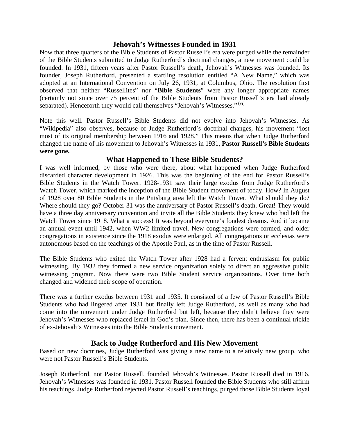### **Jehovah's Witnesses Founded in 1931**

Now that three quarters of the Bible Students of Pastor Russell's era were purged while the remainder of the Bible Students submitted to Judge Rutherford's doctrinal changes, a new movement could be founded. In 1931, fifteen years after Pastor Russell's death, Jehovah's Witnesses was founded. Its founder, Joseph Rutherford, presented a startling resolution entitled "A New Name," which was adopted at an International Convention on July 26, 1931, at Columbus, Ohio. The resolution first observed that neither "Russellites" nor "**Bible Students**" were any longer appropriate names (certainly not since over 75 percent of the Bible Students from Pastor Russell's era had already separated). Henceforth they would call themselves "Jehovah's Witnesses." (vi)

Note this well. Pastor Russell's Bible Students did not evolve into Jehovah's Witnesses. As "Wikipedia" also observes, because of Judge Rutherford's doctrinal changes, his movement "lost most of its original membership between 1916 and 1928." This means that when Judge Rutherford changed the name of his movement to Jehovah's Witnesses in 1931, **Pastor Russell's Bible Students were gone.** 

## **What Happened to These Bible Students?**

I was well informed, by those who were there, about what happened when Judge Rutherford discarded character development in 1926. This was the beginning of the end for Pastor Russell's Bible Students in the Watch Tower. 1928-1931 saw their large exodus from Judge Rutherford's Watch Tower, which marked the inception of the Bible Student movement of today. How? In August of 1928 over 80 Bible Students in the Pittsburg area left the Watch Tower. What should they do? Where should they go? October 31 was the anniversary of Pastor Russell's death. Great! They would have a three day anniversary convention and invite all the Bible Students they knew who had left the Watch Tower since 1918. What a success! It was beyond everyone's fondest dreams. And it became an annual event until 1942, when WW2 limited travel. New congregations were formed, and older congregations in existence since the 1918 exodus were enlarged. All congregations or ecclesias were autonomous based on the teachings of the Apostle Paul, as in the time of Pastor Russell.

The Bible Students who exited the Watch Tower after 1928 had a fervent enthusiasm for public witnessing. By 1932 they formed a new service organization solely to direct an aggressive public witnessing program. Now there were two Bible Student service organizations. Over time both changed and widened their scope of operation.

There was a further exodus between 1931 and 1935. It consisted of a few of Pastor Russell's Bible Students who had lingered after 1931 but finally left Judge Rutherford, as well as many who had come into the movement under Judge Rutherford but left, because they didn't believe they were Jehovah's Witnesses who replaced Israel in God's plan. Since then, there has been a continual trickle of ex-Jehovah's Witnesses into the Bible Students movement.

## **Back to Judge Rutherford and His New Movement**

Based on new doctrines, Judge Rutherford was giving a new name to a relatively new group, who were not Pastor Russell's Bible Students.

Joseph Rutherford, not Pastor Russell, founded Jehovah's Witnesses. Pastor Russell died in 1916. Jehovah's Witnesses was founded in 1931. Pastor Russell founded the Bible Students who still affirm his teachings. Judge Rutherford rejected Pastor Russell's teachings, purged those Bible Students loyal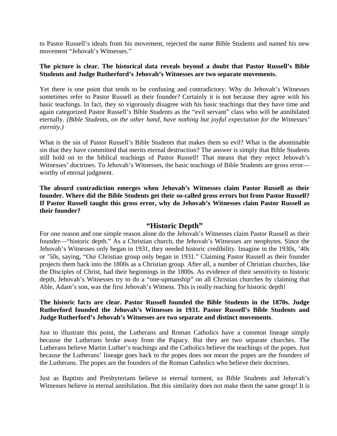to Pastor Russell's ideals from his movement, rejected the name Bible Students and named his new movement "Jehovah's Witnesses."

#### **The picture is clear. The historical data reveals beyond a doubt that Pastor Russell's Bible Students and Judge Rutherford's Jehovah's Witnesses are two separate movements.**

Yet there is one point that tends to be confusing and contradictory. Why do Jehovah's Witnesses sometimes refer to Pastor Russell as their founder? Certainly it is not because they agree with his basic teachings. In fact, they so vigorously disagree with his basic teachings that they have time and again categorized Pastor Russell's Bible Students as the "evil servant" class who will be annihilated eternally. *(Bible Students, on the other hand, have nothing but joyful expectation for the Witnesses' eternity.)*

What is the sin of Pastor Russell's Bible Students that makes them so evil? What is the abominable sin that they have committed that merits eternal destruction? The answer is simply that Bible Students still hold on to the biblical teachings of Pastor Russell! That means that they reject Jehovah's Witnesses' doctrines. To Jehovah's Witnesses, the basic teachings of Bible Students are gross error worthy of eternal judgment.

**The absurd contradiction emerges when Jehovah's Witnesses claim Pastor Russell as their founder. Where did the Bible Students get their so-called gross errors but from Pastor Russell? If Pastor Russell taught this gross error, why do Jehovah's Witnesses claim Pastor Russell as their founder?** 

#### **"Historic Depth"**

For one reason and one simple reason alone do the Jehovah's Witnesses claim Pastor Russell as their founder—"historic depth." As a Christian church, the Jehovah's Witnesses are neophytes. Since the Jehovah's Witnesses only began in 1931, they needed historic credibility. Imagine in the 1930s, '40s or '50s, saying, "Our Christian group only began in 1931." Claiming Pastor Russell as their founder projects them back into the 1800s as a Christian group. After all, a number of Christian churches, like the Disciples of Christ, had their beginnings in the 1800s. As evidence of their sensitivity to historic depth, Jehovah's Witnesses try to do a "one-upmanship" on all Christian churches by claiming that Able, Adam's son, was the first Jehovah's Witness. This is really reaching for historic depth!

#### **The historic facts are clear. Pastor Russell founded the Bible Students in the 1870s. Judge Rutherford founded the Jehovah's Witnesses in 1931. Pastor Russell's Bible Students and Judge Rutherford's Jehovah's Witnesses are two separate and distinct movements**.

Just to illustrate this point, the Lutherans and Roman Catholics have a common lineage simply because the Lutherans broke away from the Papacy. But they are two separate churches. The Lutherans believe Martin Luther's teachings and the Catholics believe the teachings of the popes. Just because the Lutherans' lineage goes back to the popes does not mean the popes are the founders of the Lutherans. The popes are the founders of the Roman Catholics who believe their doctrines.

Just as Baptists and Presbyterians believe in eternal torment, so Bible Students and Jehovah's Witnesses believe in eternal annihilation. But this similarity does not make them the same group! It is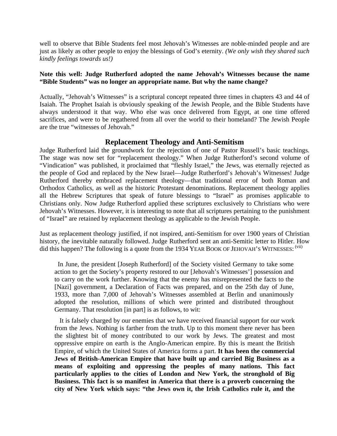well to observe that Bible Students feel most Jehovah's Witnesses are noble-minded people and are just as likely as other people to enjoy the blessings of God's eternity. *(We only wish they shared such kindly feelings towards us!)*

#### **Note this well: Judge Rutherford adopted the name Jehovah's Witnesses because the name "Bible Students" was no longer an appropriate name. But why the name change?**

Actually, "Jehovah's Witnesses" is a scriptural concept repeated three times in chapters 43 and 44 of Isaiah. The Prophet Isaiah is obviously speaking of the Jewish People, and the Bible Students have always understood it that way. Who else was once delivered from Egypt, at one time offered sacrifices, and were to be regathered from all over the world to their homeland? The Jewish People are the true "witnesses of Jehovah."

## **Replacement Theology and Anti-Semitism**

Judge Rutherford laid the groundwork for the rejection of one of Pastor Russell's basic teachings. The stage was now set for "replacement theology." When Judge Rutherford's second volume of "Vindication" was published, it proclaimed that "fleshly Israel," the Jews, was eternally rejected as the people of God and replaced by the New Israel—Judge Rutherford's Jehovah's Witnesses! Judge Rutherford thereby embraced replacement theology—that traditional error of both Roman and Orthodox Catholics, as well as the historic Protestant denominations. Replacement theology applies all the Hebrew Scriptures that speak of future blessings to "Israel" as promises applicable to Christians only. Now Judge Rutherford applied these scriptures exclusively to Christians who were Jehovah's Witnesses. However, it is interesting to note that all scriptures pertaining to the punishment of "Israel" are retained by replacement theology as applicable to the Jewish People.

Just as replacement theology justified, if not inspired, anti-Semitism for over 1900 years of Christian history, the inevitable naturally followed. Judge Rutherford sent an anti-Semitic letter to Hitler. How did this happen? The following is a quote from the 1934 YEAR BOOK OF JEHOVAH'S WITNESSES: (vii)

 In June, the president [Joseph Rutherford] of the Society visited Germany to take some action to get the Society's property restored to our [Jehovah's Witnesses'] possession and to carry on the work further. Knowing that the enemy has misrepresented the facts to the [Nazi] government, a Declaration of Facts was prepared, and on the 25th day of June, 1933, more than 7,000 of Jehovah's Witnesses assembled at Berlin and unanimously adopted the resolution, millions of which were printed and distributed throughout Germany. That resolution [in part] is as follows, to wit:

It is falsely charged by our enemies that we have received financial support for our work from the Jews. Nothing is farther from the truth. Up to this moment there never has been the slightest bit of money contributed to our work by Jews. The greatest and most oppressive empire on earth is the Anglo-American empire. By this is meant the British Empire, of which the United States of America forms a part. **It has been the commercial Jews of British-American Empire that have built up and carried Big Business as a means of exploiting and oppressing the peoples of many nations. This fact particularly applies to the cities of London and New York, the stronghold of Big Business. This fact is so manifest in America that there is a proverb concerning the city of New York which says: "the Jews own it, the Irish Catholics rule it, and the**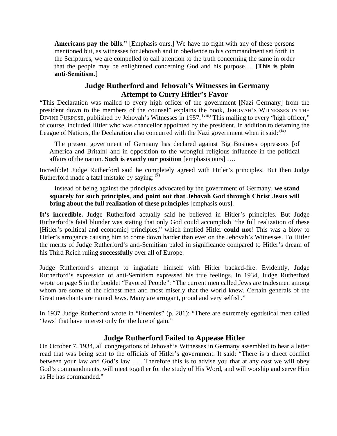**Americans pay the bills."** [Emphasis ours.] We have no fight with any of these persons mentioned but, as witnesses for Jehovah and in obedience to his commandment set forth in the Scriptures, we are compelled to call attention to the truth concerning the same in order that the people may be enlightened concerning God and his purpose…. [**This is plain anti-Semitism.**]

## **Judge Rutherford and Jehovah's Witnesses in Germany Attempt to Curry Hitler's Favor**

"This Declaration was mailed to every high officer of the government [Nazi Germany] from the president down to the members of the counsel" explains the book, JEHOVAH'S WITNESSES IN THE DIVINE PURPOSE, published by Jehovah's Witnesses in 1957. <sup>(viii)</sup> This mailing to every "high officer," of course, included Hitler who was chancellor appointed by the president. In addition to defaming the League of Nations, the Declaration also concurred with the Nazi government when it said:  $(x)$ 

The present government of Germany has declared against Big Business oppressors [of America and Britain] and in opposition to the wrongful religious influence in the political affairs of the nation. **Such is exactly our position** [emphasis ours] ….

Incredible! Judge Rutherford said he completely agreed with Hitler's principles! But then Judge Rutherford made a fatal mistake by saving:  $(\bar{x})$ 

Instead of being against the principles advocated by the government of Germany, **we stand squarely for such principles, and point out that Jehovah God through Christ Jesus will bring about the full realization of these principles** [emphasis ours].

**It's incredible.** Judge Rutherford actually said he believed in Hitler's principles. But Judge Rutherford's fatal blunder was stating that only God could accomplish "the full realization of these [Hitler's political and economic] principles," which implied Hitler **could not**! This was a blow to Hitler's arrogance causing him to come down harder than ever on the Jehovah's Witnesses. To Hitler the merits of Judge Rutherford's anti-Semitism paled in significance compared to Hitler's dream of his Third Reich ruling **successfully** over all of Europe.

Judge Rutherford's attempt to ingratiate himself with Hitler backed-fire. Evidently, Judge Rutherford's expression of anti-Semitism expressed his true feelings. In 1934, Judge Rutherford wrote on page 5 in the booklet "Favored People": "The current men called Jews are tradesmen among whom are some of the richest men and most miserly that the world knew. Certain generals of the Great merchants are named Jews. Many are arrogant, proud and very selfish."

In 1937 Judge Rutherford wrote in "Enemies" (p. 281): "There are extremely egotistical men called 'Jews' that have interest only for the lure of gain."

## **Judge Rutherford Failed to Appease Hitler**

On October 7, 1934, all congregations of Jehovah's Witnesses in Germany assembled to hear a letter read that was being sent to the officials of Hitler's government. It said: "There is a direct conflict between your law and God's law . . . Therefore this is to advise you that at any cost we will obey God's commandments, will meet together for the study of His Word, and will worship and serve Him as He has commanded."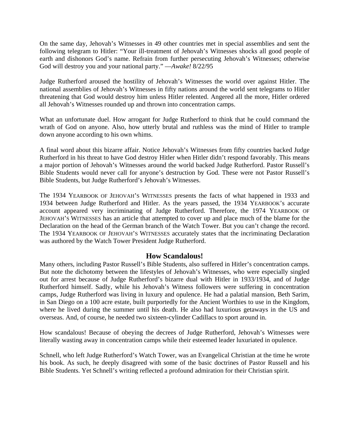On the same day, Jehovah's Witnesses in 49 other countries met in special assemblies and sent the following telegram to Hitler: "Your ill-treatment of Jehovah's Witnesses shocks all good people of earth and dishonors God's name. Refrain from further persecuting Jehovah's Witnesses; otherwise God will destroy you and your national party." —*Awake!* 8/22/95

Judge Rutherford aroused the hostility of Jehovah's Witnesses the world over against Hitler. The national assemblies of Jehovah's Witnesses in fifty nations around the world sent telegrams to Hitler threatening that God would destroy him unless Hitler relented. Angered all the more, Hitler ordered all Jehovah's Witnesses rounded up and thrown into concentration camps.

What an unfortunate duel. How arrogant for Judge Rutherford to think that he could command the wrath of God on anyone. Also, how utterly brutal and ruthless was the mind of Hitler to trample down anyone according to his own whims.

A final word about this bizarre affair. Notice Jehovah's Witnesses from fifty countries backed Judge Rutherford in his threat to have God destroy Hitler when Hitler didn't respond favorably. This means a major portion of Jehovah's Witnesses around the world backed Judge Rutherford. Pastor Russell's Bible Students would never call for anyone's destruction by God. These were not Pastor Russell's Bible Students, but Judge Rutherford's Jehovah's Witnesses.

The 1934 YEARBOOK OF JEHOVAH'S WITNESSES presents the facts of what happened in 1933 and 1934 between Judge Rutherford and Hitler. As the years passed, the 1934 YEARBOOK's accurate account appeared very incriminating of Judge Rutherford. Therefore, the 1974 YEARBOOK OF JEHOVAH'S WITNESSES has an article that attempted to cover up and place much of the blame for the Declaration on the head of the German branch of the Watch Tower. But you can't change the record. The 1934 YEARBOOK OF JEHOVAH'S WITNESSES accurately states that the incriminating Declaration was authored by the Watch Tower President Judge Rutherford.

#### **How Scandalous!**

Many others, including Pastor Russell's Bible Students, also suffered in Hitler's concentration camps. But note the dichotomy between the lifestyles of Jehovah's Witnesses, who were especially singled out for arrest because of Judge Rutherford's bizarre dual with Hitler in 1933/1934, and of Judge Rutherford himself. Sadly, while his Jehovah's Witness followers were suffering in concentration camps, Judge Rutherford was living in luxury and opulence. He had a palatial mansion, Beth Sarim, in San Diego on a 100 acre estate, built purportedly for the Ancient Worthies to use in the Kingdom, where he lived during the summer until his death. He also had luxurious getaways in the US and overseas. And, of course, he needed two sixteen-cylinder Cadillacs to sport around in.

How scandalous! Because of obeying the decrees of Judge Rutherford, Jehovah's Witnesses were literally wasting away in concentration camps while their esteemed leader luxuriated in opulence.

Schnell, who left Judge Rutherford's Watch Tower, was an Evangelical Christian at the time he wrote his book. As such, he deeply disagreed with some of the basic doctrines of Pastor Russell and his Bible Students. Yet Schnell's writing reflected a profound admiration for their Christian spirit.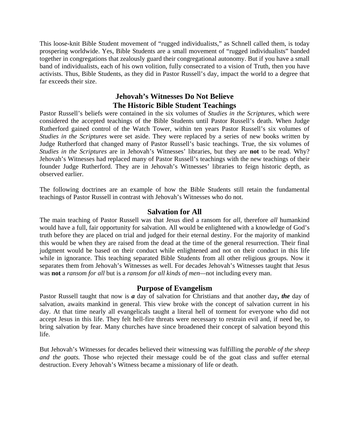This loose-knit Bible Student movement of "rugged individualists," as Schnell called them, is today prospering worldwide. Yes, Bible Students are a small movement of "rugged individualists" banded together in congregations that zealously guard their congregational autonomy. But if you have a small band of individualists, each of his own volition, fully consecrated to a vision of Truth, then you have activists. Thus, Bible Students, as they did in Pastor Russell's day, impact the world to a degree that far exceeds their size.

## **Jehovah's Witnesses Do Not Believe The Historic Bible Student Teachings**

Pastor Russell's beliefs were contained in the six volumes of *Studies in the Scriptures,* which were considered the accepted teachings of the Bible Students until Pastor Russell's death. When Judge Rutherford gained control of the Watch Tower, within ten years Pastor Russell's six volumes of *Studies in the Scriptures* were set aside. They were replaced by a series of new books written by Judge Rutherford that changed many of Pastor Russell's basic teachings. True, the six volumes of *Studies in the Scriptures* are in Jehovah's Witnesses' libraries, but they are **not** to be read. Why? Jehovah's Witnesses had replaced many of Pastor Russell's teachings with the new teachings of their founder Judge Rutherford. They are in Jehovah's Witnesses' libraries to feign historic depth, as observed earlier.

The following doctrines are an example of how the Bible Students still retain the fundamental teachings of Pastor Russell in contrast with Jehovah's Witnesses who do not.

#### **Salvation for All**

The main teaching of Pastor Russell was that Jesus died a ransom for *all*, therefore *all* humankind would have a full, fair opportunity for salvation. All would be enlightened with a knowledge of God's truth before they are placed on trial and judged for their eternal destiny. For the majority of mankind this would be when they are raised from the dead at the time of the general resurrection. Their final judgment would be based on their conduct while enlightened and not on their conduct in this life while in ignorance. This teaching separated Bible Students from all other religious groups. Now it separates them from Jehovah's Witnesses as well. For decades Jehovah's Witnesses taught that Jesus was **not** a *ransom for all* but is a *ransom for all kinds of men—*not including every man.

## **Purpose of Evangelism**

Pastor Russell taught that now is *a* day of salvation for Christians and that another day**,** *the* day of salvation, awaits mankind in general. This view broke with the concept of salvation current in his day. At that time nearly all evangelicals taught a literal hell of torment for everyone who did not accept Jesus in this life. They felt hell-fire threats were necessary to restrain evil and, if need be, to bring salvation by fear. Many churches have since broadened their concept of salvation beyond this life.

But Jehovah's Witnesses for decades believed their witnessing was fulfilling the *parable of the sheep and the goats.* Those who rejected their message could be of the goat class and suffer eternal destruction. Every Jehovah's Witness became a missionary of life or death.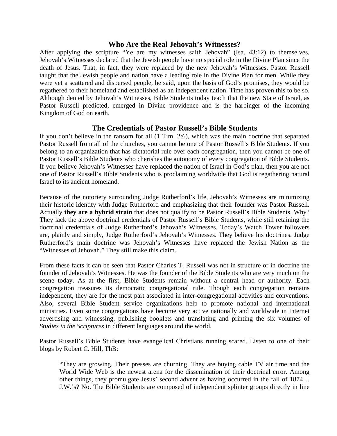#### **Who Are the Real Jehovah's Witnesses?**

After applying the scripture "Ye are my witnesses saith Jehovah" (Isa. 43:12) to themselves, Jehovah's Witnesses declared that the Jewish people have no special role in the Divine Plan since the death of Jesus. That, in fact, they were replaced by the new Jehovah's Witnesses. Pastor Russell taught that the Jewish people and nation have a leading role in the Divine Plan for men. While they were yet a scattered and dispersed people, he said, upon the basis of God's promises, they would be regathered to their homeland and established as an independent nation. Time has proven this to be so. Although denied by Jehovah's Witnesses, Bible Students today teach that the new State of Israel, as Pastor Russell predicted, emerged in Divine providence and is the harbinger of the incoming Kingdom of God on earth.

#### **The Credentials of Pastor Russell's Bible Students**

If you don't believe in the ransom for all (1 Tim. 2:6), which was the main doctrine that separated Pastor Russell from all of the churches, you cannot be one of Pastor Russell's Bible Students. If you belong to an organization that has dictatorial rule over each congregation, then you cannot be one of Pastor Russell's Bible Students who cherishes the autonomy of every congregation of Bible Students. If you believe Jehovah's Witnesses have replaced the nation of Israel in God's plan, then you are not one of Pastor Russell's Bible Students who is proclaiming worldwide that God is regathering natural Israel to its ancient homeland.

Because of the notoriety surrounding Judge Rutherford's life, Jehovah's Witnesses are minimizing their historic identity with Judge Rutherford and emphasizing that their founder was Pastor Russell. Actually **they are a hybrid strain** that does not qualify to be Pastor Russell's Bible Students. Why? They lack the above doctrinal credentials of Pastor Russell's Bible Students, while still retaining the doctrinal credentials of Judge Rutherford's Jehovah's Witnesses. Today's Watch Tower followers are, plainly and simply, Judge Rutherford's Jehovah's Witnesses. They believe his doctrines. Judge Rutherford's main doctrine was Jehovah's Witnesses have replaced the Jewish Nation as the "Witnesses of Jehovah." They still make this claim.

From these facts it can be seen that Pastor Charles T. Russell was not in structure or in doctrine the founder of Jehovah's Witnesses. He was the founder of the Bible Students who are very much on the scene today. As at the first, Bible Students remain without a central head or authority. Each congregation treasures its democratic congregational rule. Though each congregation remains independent, they are for the most part associated in inter-congregational activities and conventions. Also, several Bible Student service organizations help to promote national and international ministries. Even some congregations have become very active nationally and worldwide in Internet advertising and witnessing, publishing booklets and translating and printing the six volumes of *Studies in the Scriptures* in different languages around the world.

Pastor Russell's Bible Students have evangelical Christians running scared. Listen to one of their blogs by Robert C. Hill, ThB:

"They are growing. Their presses are churning. They are buying cable TV air time and the World Wide Web is the newest arena for the dissemination of their doctrinal error. Among other things, they promulgate Jesus' second advent as having occurred in the fall of 1874… J.W.'s? No. The Bible Students are composed of independent splinter groups directly in line